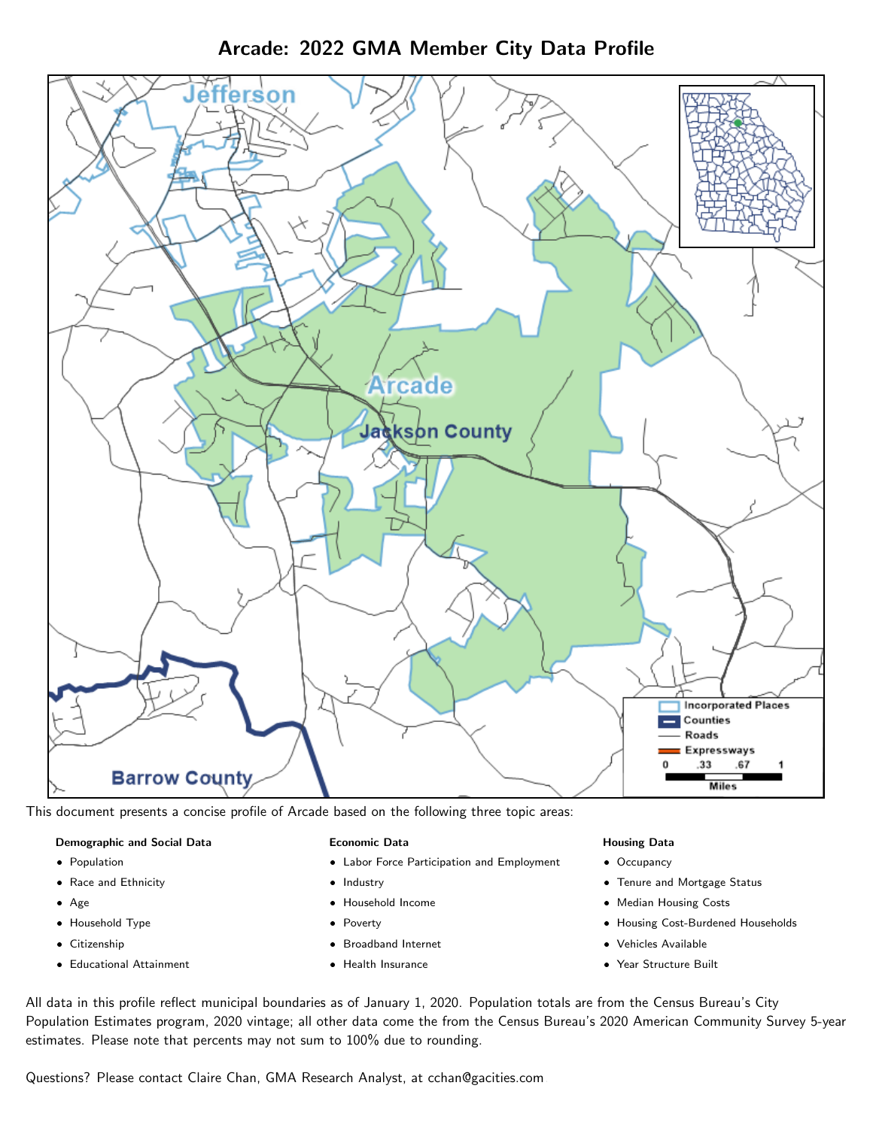Arcade: 2022 GMA Member City Data Profile



This document presents a concise profile of Arcade based on the following three topic areas:

#### Demographic and Social Data

- **•** Population
- Race and Ethnicity
- Age
- Household Type
- **Citizenship**
- Educational Attainment

#### Economic Data

- Labor Force Participation and Employment
- Industry
- Household Income
- Poverty
- Broadband Internet
- Health Insurance

### Housing Data

- Occupancy
- Tenure and Mortgage Status
- Median Housing Costs
- Housing Cost-Burdened Households
- Vehicles Available
- Year Structure Built

All data in this profile reflect municipal boundaries as of January 1, 2020. Population totals are from the Census Bureau's City Population Estimates program, 2020 vintage; all other data come the from the Census Bureau's 2020 American Community Survey 5-year estimates. Please note that percents may not sum to 100% due to rounding.

Questions? Please contact Claire Chan, GMA Research Analyst, at [cchan@gacities.com.](mailto:cchan@gacities.com)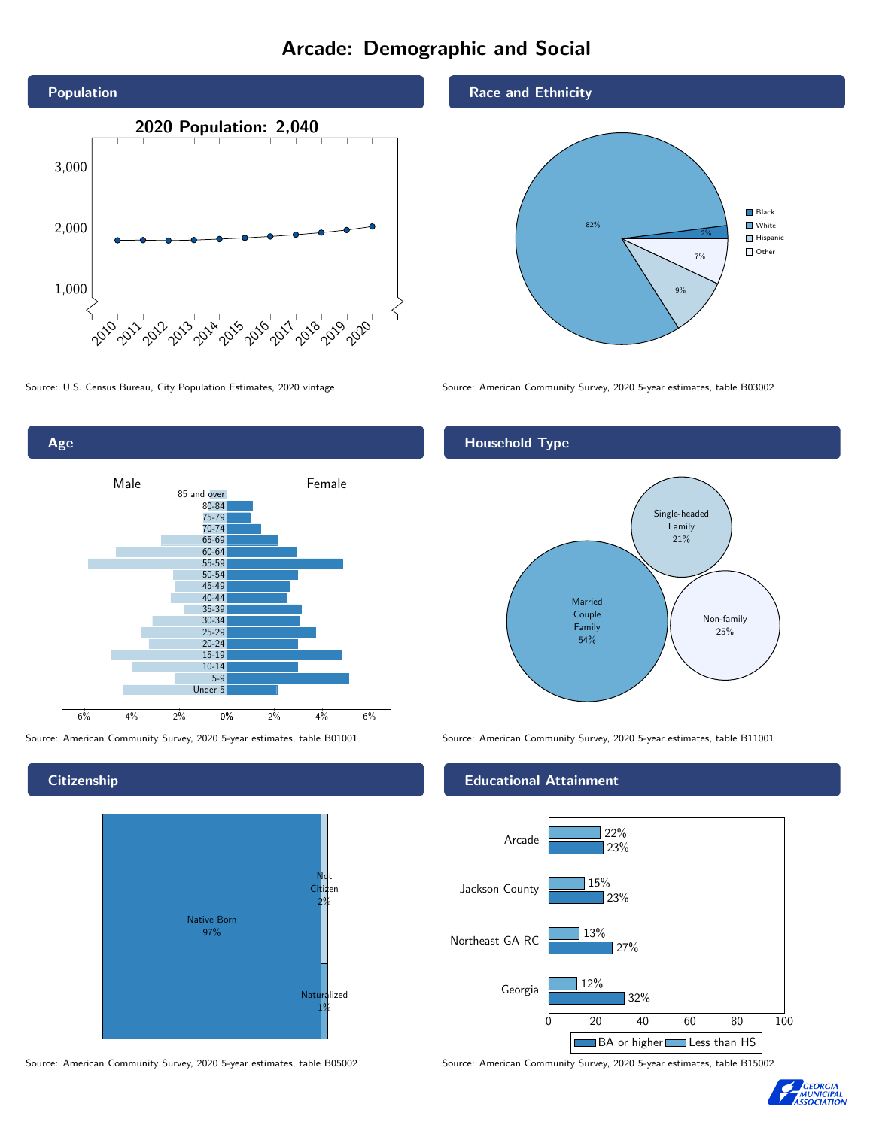# Arcade: Demographic and Social





**Citizenship** 



Source: American Community Survey, 2020 5-year estimates, table B05002 Source: American Community Survey, 2020 5-year estimates, table B15002

Race and Ethnicity



Source: U.S. Census Bureau, City Population Estimates, 2020 vintage Source: American Community Survey, 2020 5-year estimates, table B03002

## Household Type



Source: American Community Survey, 2020 5-year estimates, table B01001 Source: American Community Survey, 2020 5-year estimates, table B11001

### Educational Attainment



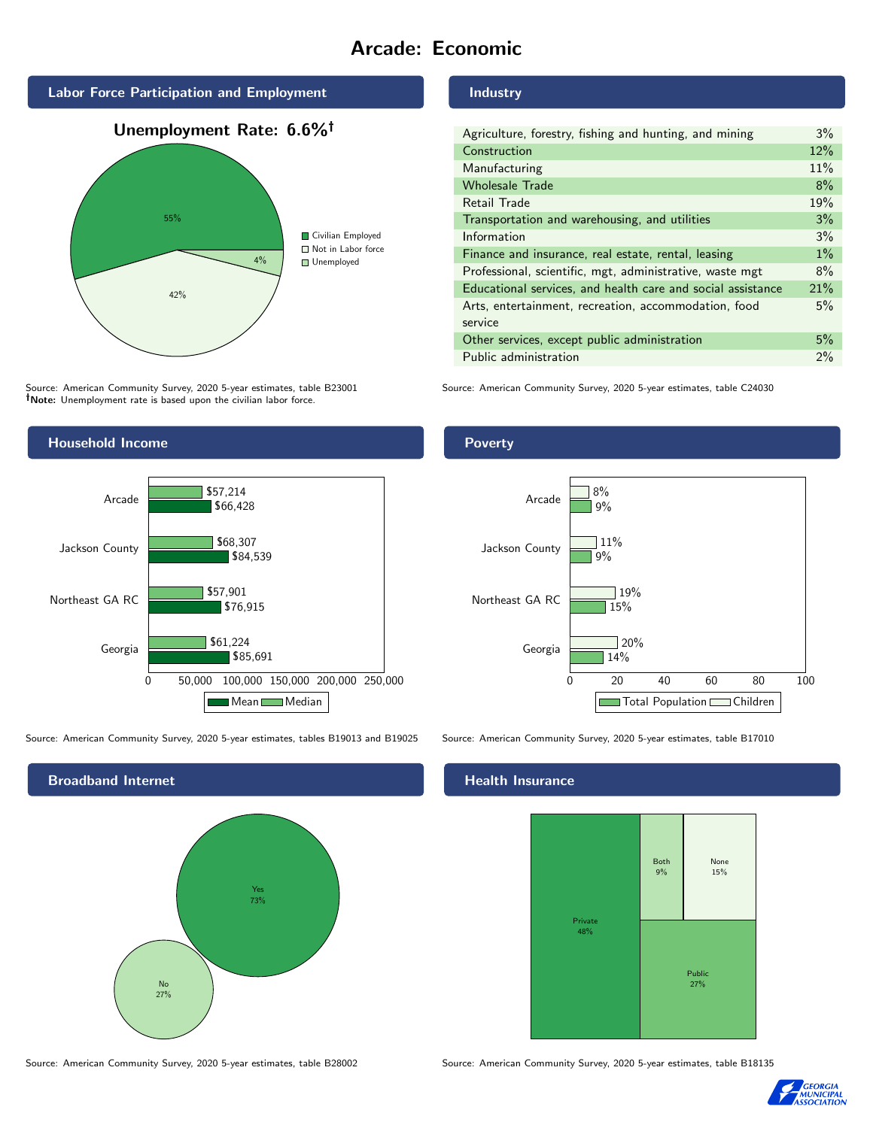# Arcade: Economic



Source: American Community Survey, 2020 5-year estimates, table B23001 Note: Unemployment rate is based upon the civilian labor force.



Source: American Community Survey, 2020 5-year estimates, tables B19013 and B19025 Source: American Community Survey, 2020 5-year estimates, table B17010



Industry

| Agriculture, forestry, fishing and hunting, and mining      | $3\%$ |
|-------------------------------------------------------------|-------|
| Construction                                                | 12%   |
| Manufacturing                                               | 11%   |
| <b>Wholesale Trade</b>                                      | 8%    |
| Retail Trade                                                | 19%   |
| Transportation and warehousing, and utilities               | 3%    |
| Information                                                 | 3%    |
| Finance and insurance, real estate, rental, leasing         | $1\%$ |
| Professional, scientific, mgt, administrative, waste mgt    | 8%    |
| Educational services, and health care and social assistance | 21%   |
| Arts, entertainment, recreation, accommodation, food        | 5%    |
| service                                                     |       |
| Other services, except public administration                | 5%    |
| Public administration                                       | $2\%$ |

Source: American Community Survey, 2020 5-year estimates, table C24030

Poverty



### Health Insurance



Source: American Community Survey, 2020 5-year estimates, table B28002 Source: American Community Survey, 2020 5-year estimates, table B18135